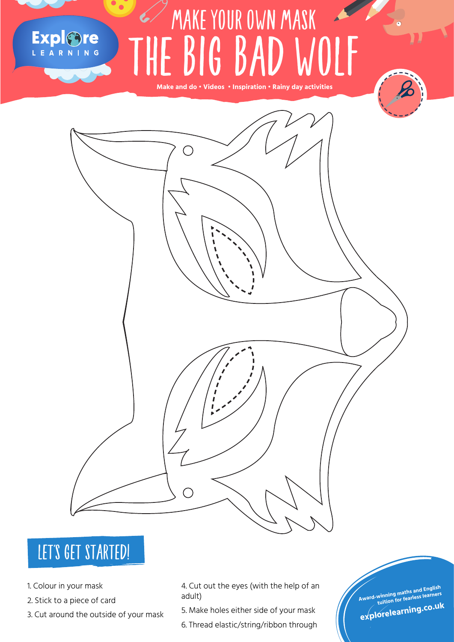### MAKE YOUR OWN MASK Explore THE BIG BAD WOLF  $\frac{1}{\sqrt{2}}$   $\frac{1}{\sqrt{2}}$   $\frac{1}{\sqrt{2}}$   $\frac{1}{\sqrt{2}}$   $\frac{1}{\sqrt{2}}$   $\frac{1}{\sqrt{2}}$   $\frac{1}{\sqrt{2}}$   $\frac{1}{\sqrt{2}}$   $\frac{1}{\sqrt{2}}$   $\frac{1}{\sqrt{2}}$   $\frac{1}{\sqrt{2}}$   $\frac{1}{\sqrt{2}}$   $\frac{1}{\sqrt{2}}$   $\frac{1}{\sqrt{2}}$   $\frac{1}{\sqrt{2}}$   $\frac{1}{\sqrt{2}}$   $\frac{1}{\sqrt{2}}$

**Make and do • Videos • Inspiration • Rainy day activities**

#### LET'S GET STARTED!

- 1. Colour in your mask
- 2. Stick to a piece of card
- 3. Cut around the outside of your mask

4. Cut out the eyes (with the help of an adult)

- 5. Make holes either side of your mask
- 6. Thread elastic/string/ribbon through

**Award-winning maths and English tuition for fearless learners**

**explorelearning.co.u<sup>k</sup>**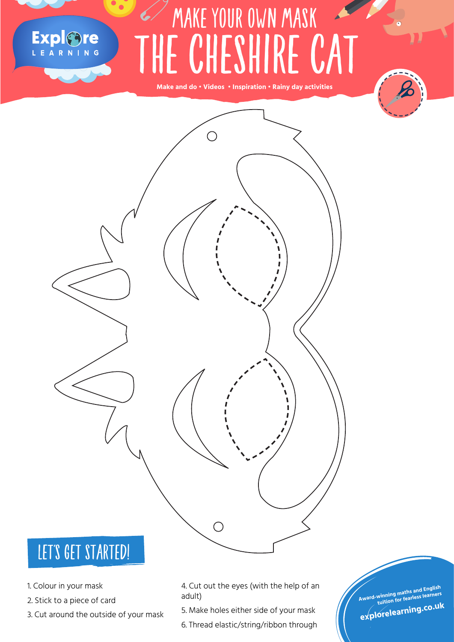## MAKE YOUR OWN MASK Explore THE CHESHIRE CAT

**Make and do • Videos • Inspiration • Rainy day activities**





#### LET'S GET STARTED!

- 1. Colour in your mask
- 2. Stick to a piece of card
- 3. Cut around the outside of your mask

4. Cut out the eyes (with the help of an adult)

5. Make holes either side of your mask

6. Thread elastic/string/ribbon through

**Award-winning maths and English tuition for fearless learners explorelearning.co.u<sup>k</sup>**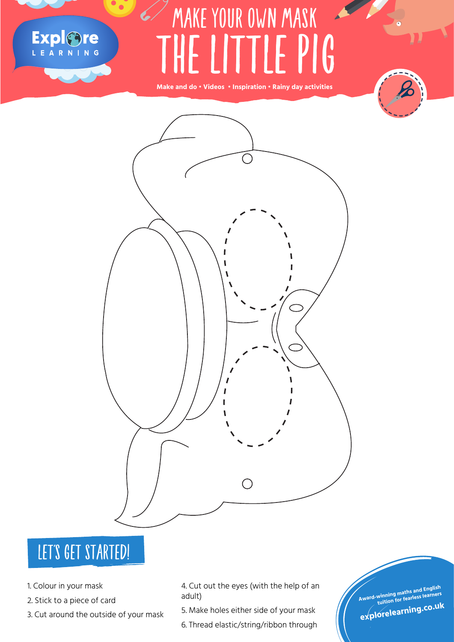## FORTUNE TELLERS THE LITTLE PIG  $\overline{\phantom{a}}$  MAKE YOUR OWN MASK

**Make and do • Videos • Inspiration • Rainy day activities**





#### LET'S GET STARTED!

1. Colour in your mask

Explore

- 2. Stick to a piece of card
- 3. Cut around the outside of your mask

4. Cut out the eyes (with the help of an adult)

- 5. Make holes either side of your mask
- 6. Thread elastic/string/ribbon through

**Award-winning maths and English tuition for fearless learners explorelearning.co.u<sup>k</sup>**